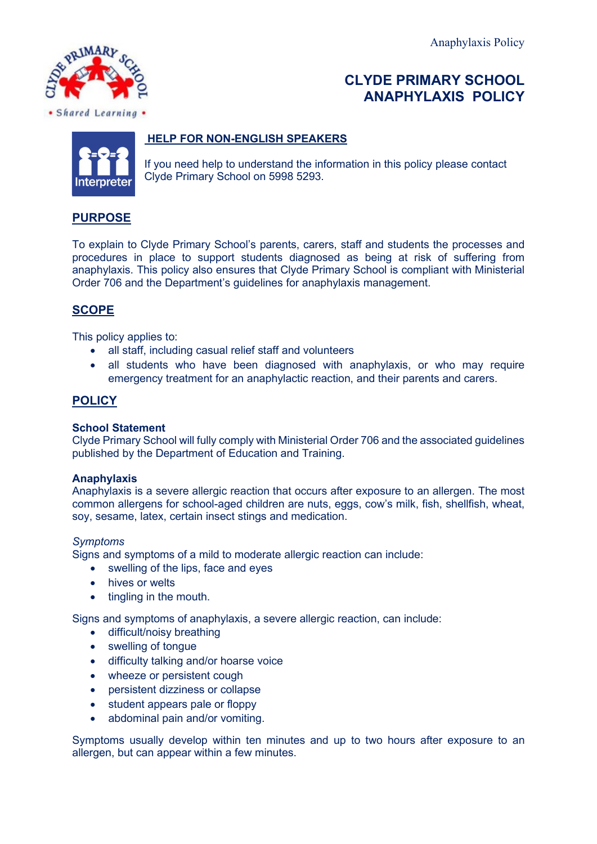

# **CLYDE PRIMARY SCHOOL ANAPHYLAXIS POLICY**



### **HELP FOR NON-ENGLISH SPEAKERS**

If you need help to understand the information in this policy please contact Clyde Primary School on 5998 5293.

# **PURPOSE**

To explain to Clyde Primary School's parents, carers, staff and students the processes and procedures in place to support students diagnosed as being at risk of suffering from anaphylaxis. This policy also ensures that Clyde Primary School is compliant with Ministerial Order 706 and the Department's guidelines for anaphylaxis management.

# **SCOPE**

This policy applies to:

- all staff, including casual relief staff and volunteers
- all students who have been diagnosed with anaphylaxis, or who may require emergency treatment for an anaphylactic reaction, and their parents and carers.

### **POLICY**

#### **School Statement**

Clyde Primary School will fully comply with Ministerial Order 706 and the associated guidelines published by the Department of Education and Training.

#### **Anaphylaxis**

Anaphylaxis is a severe allergic reaction that occurs after exposure to an allergen. The most common allergens for school-aged children are nuts, eggs, cow's milk, fish, shellfish, wheat, soy, sesame, latex, certain insect stings and medication.

#### *Symptoms*

Signs and symptoms of a mild to moderate allergic reaction can include:

- swelling of the lips, face and eyes
- hives or welts
- tingling in the mouth.

Signs and symptoms of anaphylaxis, a severe allergic reaction, can include:

- difficult/noisy breathing
- swelling of tongue
- difficulty talking and/or hoarse voice
- wheeze or persistent cough
- persistent dizziness or collapse
- student appears pale or floppy
- abdominal pain and/or vomiting.

Symptoms usually develop within ten minutes and up to two hours after exposure to an allergen, but can appear within a few minutes.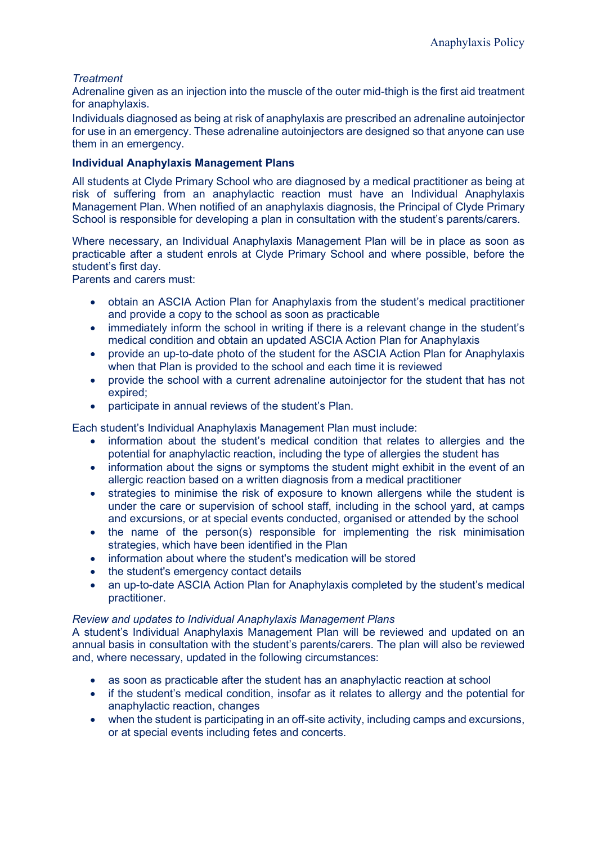### *Treatment*

Adrenaline given as an injection into the muscle of the outer mid-thigh is the first aid treatment for anaphylaxis.

Individuals diagnosed as being at risk of anaphylaxis are prescribed an adrenaline autoinjector for use in an emergency. These adrenaline autoinjectors are designed so that anyone can use them in an emergency.

### **Individual Anaphylaxis Management Plans**

All students at Clyde Primary School who are diagnosed by a medical practitioner as being at risk of suffering from an anaphylactic reaction must have an Individual Anaphylaxis Management Plan. When notified of an anaphylaxis diagnosis, the Principal of Clyde Primary School is responsible for developing a plan in consultation with the student's parents/carers.

Where necessary, an Individual Anaphylaxis Management Plan will be in place as soon as practicable after a student enrols at Clyde Primary School and where possible, before the student's first day.

Parents and carers must:

- obtain an ASCIA Action Plan for Anaphylaxis from the student's medical practitioner and provide a copy to the school as soon as practicable
- immediately inform the school in writing if there is a relevant change in the student's medical condition and obtain an updated ASCIA Action Plan for Anaphylaxis
- provide an up-to-date photo of the student for the ASCIA Action Plan for Anaphylaxis when that Plan is provided to the school and each time it is reviewed
- provide the school with a current adrenaline autoinjector for the student that has not expired;
- participate in annual reviews of the student's Plan.

Each student's Individual Anaphylaxis Management Plan must include:

- information about the student's medical condition that relates to allergies and the potential for anaphylactic reaction, including the type of allergies the student has
- information about the signs or symptoms the student might exhibit in the event of an allergic reaction based on a written diagnosis from a medical practitioner
- strategies to minimise the risk of exposure to known allergens while the student is under the care or supervision of school staff, including in the school yard, at camps and excursions, or at special events conducted, organised or attended by the school
- the name of the person(s) responsible for implementing the risk minimisation strategies, which have been identified in the Plan
- information about where the student's medication will be stored
- the student's emergency contact details
- an up-to-date ASCIA Action Plan for Anaphylaxis completed by the student's medical practitioner.

#### *Review and updates to Individual Anaphylaxis Management Plans*

A student's Individual Anaphylaxis Management Plan will be reviewed and updated on an annual basis in consultation with the student's parents/carers. The plan will also be reviewed and, where necessary, updated in the following circumstances:

- as soon as practicable after the student has an anaphylactic reaction at school
- if the student's medical condition, insofar as it relates to allergy and the potential for anaphylactic reaction, changes
- when the student is participating in an off-site activity, including camps and excursions, or at special events including fetes and concerts.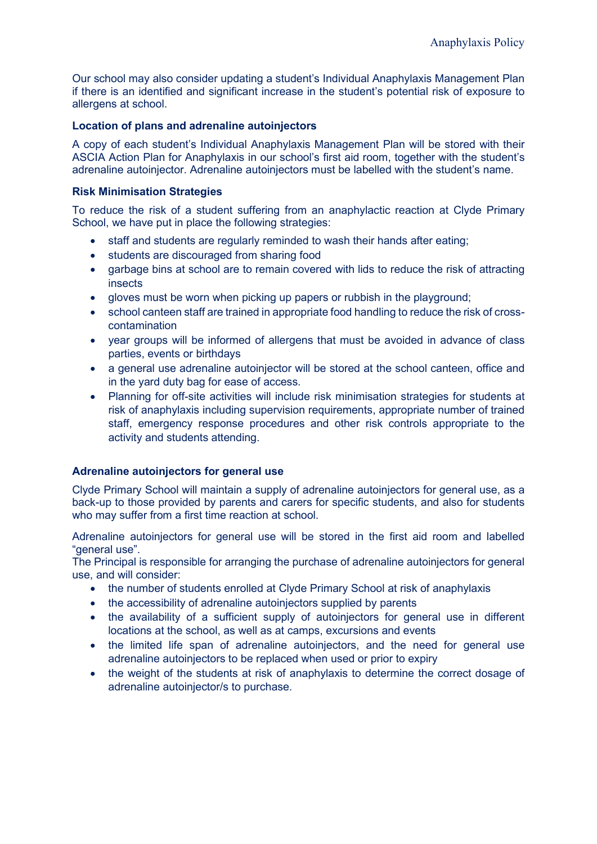Our school may also consider updating a student's Individual Anaphylaxis Management Plan if there is an identified and significant increase in the student's potential risk of exposure to allergens at school.

#### **Location of plans and adrenaline autoinjectors**

A copy of each student's Individual Anaphylaxis Management Plan will be stored with their ASCIA Action Plan for Anaphylaxis in our school's first aid room, together with the student's adrenaline autoinjector. Adrenaline autoinjectors must be labelled with the student's name.

#### **Risk Minimisation Strategies**

To reduce the risk of a student suffering from an anaphylactic reaction at Clyde Primary School, we have put in place the following strategies:

- staff and students are regularly reminded to wash their hands after eating;
- students are discouraged from sharing food
- garbage bins at school are to remain covered with lids to reduce the risk of attracting insects
- gloves must be worn when picking up papers or rubbish in the playground;
- school canteen staff are trained in appropriate food handling to reduce the risk of crosscontamination
- year groups will be informed of allergens that must be avoided in advance of class parties, events or birthdays
- a general use adrenaline autoinjector will be stored at the school canteen, office and in the yard duty bag for ease of access.
- Planning for off-site activities will include risk minimisation strategies for students at risk of anaphylaxis including supervision requirements, appropriate number of trained staff, emergency response procedures and other risk controls appropriate to the activity and students attending.

#### **Adrenaline autoinjectors for general use**

Clyde Primary School will maintain a supply of adrenaline autoinjectors for general use, as a back-up to those provided by parents and carers for specific students, and also for students who may suffer from a first time reaction at school.

Adrenaline autoinjectors for general use will be stored in the first aid room and labelled "general use".

The Principal is responsible for arranging the purchase of adrenaline autoinjectors for general use, and will consider:

- the number of students enrolled at Clyde Primary School at risk of anaphylaxis
- the accessibility of adrenaline autoinjectors supplied by parents
- the availability of a sufficient supply of autoinjectors for general use in different locations at the school, as well as at camps, excursions and events
- the limited life span of adrenaline autoinjectors, and the need for general use adrenaline autoinjectors to be replaced when used or prior to expiry
- the weight of the students at risk of anaphylaxis to determine the correct dosage of adrenaline autoinjector/s to purchase.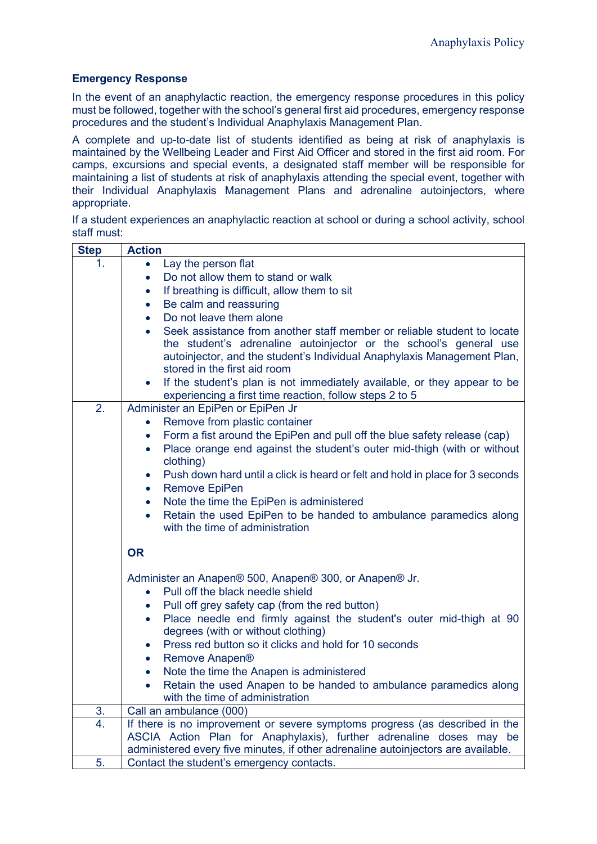#### **Emergency Response**

In the event of an anaphylactic reaction, the emergency response procedures in this policy must be followed, together with the school's general first aid procedures, emergency response procedures and the student's Individual Anaphylaxis Management Plan.

A complete and up-to-date list of students identified as being at risk of anaphylaxis is maintained by the Wellbeing Leader and First Aid Officer and stored in the first aid room. For camps, excursions and special events, a designated staff member will be responsible for maintaining a list of students at risk of anaphylaxis attending the special event, together with their Individual Anaphylaxis Management Plans and adrenaline autoinjectors, where appropriate.

| If a student experiences an anaphylactic reaction at school or during a school activity, school |  |  |  |  |  |  |
|-------------------------------------------------------------------------------------------------|--|--|--|--|--|--|
| staff must:                                                                                     |  |  |  |  |  |  |

| 1.<br>Lay the person flat<br>$\bullet$<br>Do not allow them to stand or walk<br>$\bullet$<br>If breathing is difficult, allow them to sit<br>$\bullet$<br>Be calm and reassuring<br>$\bullet$<br>Do not leave them alone<br>$\bullet$<br>Seek assistance from another staff member or reliable student to locate<br>$\bullet$<br>the student's adrenaline autoinjector or the school's general use<br>autoinjector, and the student's Individual Anaphylaxis Management Plan,<br>stored in the first aid room<br>If the student's plan is not immediately available, or they appear to be<br>$\bullet$<br>experiencing a first time reaction, follow steps 2 to 5<br>2.<br>Administer an EpiPen or EpiPen Jr<br>Remove from plastic container<br>$\bullet$<br>Form a fist around the EpiPen and pull off the blue safety release (cap)<br>$\bullet$<br>Place orange end against the student's outer mid-thigh (with or without<br>$\bullet$<br>clothing)<br>Push down hard until a click is heard or felt and hold in place for 3 seconds<br>$\bullet$<br><b>Remove EpiPen</b><br>$\bullet$<br>Note the time the EpiPen is administered<br>$\bullet$<br>Retain the used EpiPen to be handed to ambulance paramedics along<br>$\bullet$<br>with the time of administration<br><b>OR</b><br>Administer an Anapen® 500, Anapen® 300, or Anapen® Jr.<br>Pull off the black needle shield<br>$\bullet$<br>Pull off grey safety cap (from the red button)<br>$\bullet$<br>Place needle end firmly against the student's outer mid-thigh at 90<br>$\bullet$<br>degrees (with or without clothing)<br>Press red button so it clicks and hold for 10 seconds<br>$\bullet$<br>Remove Anapen <sup>®</sup><br>$\bullet$<br>Note the time the Anapen is administered<br>$\bullet$<br>Retain the used Anapen to be handed to ambulance paramedics along<br>٠<br>with the time of administration<br>3.<br>Call an ambulance (000)<br>4.<br>If there is no improvement or severe symptoms progress (as described in the<br>ASCIA Action Plan for Anaphylaxis), further adrenaline doses may be<br>administered every five minutes, if other adrenaline autoinjectors are available.<br>5.<br>Contact the student's emergency contacts. | <b>Step</b> | <b>Action</b> |
|------------------------------------------------------------------------------------------------------------------------------------------------------------------------------------------------------------------------------------------------------------------------------------------------------------------------------------------------------------------------------------------------------------------------------------------------------------------------------------------------------------------------------------------------------------------------------------------------------------------------------------------------------------------------------------------------------------------------------------------------------------------------------------------------------------------------------------------------------------------------------------------------------------------------------------------------------------------------------------------------------------------------------------------------------------------------------------------------------------------------------------------------------------------------------------------------------------------------------------------------------------------------------------------------------------------------------------------------------------------------------------------------------------------------------------------------------------------------------------------------------------------------------------------------------------------------------------------------------------------------------------------------------------------------------------------------------------------------------------------------------------------------------------------------------------------------------------------------------------------------------------------------------------------------------------------------------------------------------------------------------------------------------------------------------------------------------------------------------------------------------------------------------------------------------------------------------------------------|-------------|---------------|
|                                                                                                                                                                                                                                                                                                                                                                                                                                                                                                                                                                                                                                                                                                                                                                                                                                                                                                                                                                                                                                                                                                                                                                                                                                                                                                                                                                                                                                                                                                                                                                                                                                                                                                                                                                                                                                                                                                                                                                                                                                                                                                                                                                                                                        |             |               |
|                                                                                                                                                                                                                                                                                                                                                                                                                                                                                                                                                                                                                                                                                                                                                                                                                                                                                                                                                                                                                                                                                                                                                                                                                                                                                                                                                                                                                                                                                                                                                                                                                                                                                                                                                                                                                                                                                                                                                                                                                                                                                                                                                                                                                        |             |               |
|                                                                                                                                                                                                                                                                                                                                                                                                                                                                                                                                                                                                                                                                                                                                                                                                                                                                                                                                                                                                                                                                                                                                                                                                                                                                                                                                                                                                                                                                                                                                                                                                                                                                                                                                                                                                                                                                                                                                                                                                                                                                                                                                                                                                                        |             |               |
|                                                                                                                                                                                                                                                                                                                                                                                                                                                                                                                                                                                                                                                                                                                                                                                                                                                                                                                                                                                                                                                                                                                                                                                                                                                                                                                                                                                                                                                                                                                                                                                                                                                                                                                                                                                                                                                                                                                                                                                                                                                                                                                                                                                                                        |             |               |
|                                                                                                                                                                                                                                                                                                                                                                                                                                                                                                                                                                                                                                                                                                                                                                                                                                                                                                                                                                                                                                                                                                                                                                                                                                                                                                                                                                                                                                                                                                                                                                                                                                                                                                                                                                                                                                                                                                                                                                                                                                                                                                                                                                                                                        |             |               |
|                                                                                                                                                                                                                                                                                                                                                                                                                                                                                                                                                                                                                                                                                                                                                                                                                                                                                                                                                                                                                                                                                                                                                                                                                                                                                                                                                                                                                                                                                                                                                                                                                                                                                                                                                                                                                                                                                                                                                                                                                                                                                                                                                                                                                        |             |               |
|                                                                                                                                                                                                                                                                                                                                                                                                                                                                                                                                                                                                                                                                                                                                                                                                                                                                                                                                                                                                                                                                                                                                                                                                                                                                                                                                                                                                                                                                                                                                                                                                                                                                                                                                                                                                                                                                                                                                                                                                                                                                                                                                                                                                                        |             |               |
|                                                                                                                                                                                                                                                                                                                                                                                                                                                                                                                                                                                                                                                                                                                                                                                                                                                                                                                                                                                                                                                                                                                                                                                                                                                                                                                                                                                                                                                                                                                                                                                                                                                                                                                                                                                                                                                                                                                                                                                                                                                                                                                                                                                                                        |             |               |
|                                                                                                                                                                                                                                                                                                                                                                                                                                                                                                                                                                                                                                                                                                                                                                                                                                                                                                                                                                                                                                                                                                                                                                                                                                                                                                                                                                                                                                                                                                                                                                                                                                                                                                                                                                                                                                                                                                                                                                                                                                                                                                                                                                                                                        |             |               |
|                                                                                                                                                                                                                                                                                                                                                                                                                                                                                                                                                                                                                                                                                                                                                                                                                                                                                                                                                                                                                                                                                                                                                                                                                                                                                                                                                                                                                                                                                                                                                                                                                                                                                                                                                                                                                                                                                                                                                                                                                                                                                                                                                                                                                        |             |               |
|                                                                                                                                                                                                                                                                                                                                                                                                                                                                                                                                                                                                                                                                                                                                                                                                                                                                                                                                                                                                                                                                                                                                                                                                                                                                                                                                                                                                                                                                                                                                                                                                                                                                                                                                                                                                                                                                                                                                                                                                                                                                                                                                                                                                                        |             |               |
|                                                                                                                                                                                                                                                                                                                                                                                                                                                                                                                                                                                                                                                                                                                                                                                                                                                                                                                                                                                                                                                                                                                                                                                                                                                                                                                                                                                                                                                                                                                                                                                                                                                                                                                                                                                                                                                                                                                                                                                                                                                                                                                                                                                                                        |             |               |
|                                                                                                                                                                                                                                                                                                                                                                                                                                                                                                                                                                                                                                                                                                                                                                                                                                                                                                                                                                                                                                                                                                                                                                                                                                                                                                                                                                                                                                                                                                                                                                                                                                                                                                                                                                                                                                                                                                                                                                                                                                                                                                                                                                                                                        |             |               |
|                                                                                                                                                                                                                                                                                                                                                                                                                                                                                                                                                                                                                                                                                                                                                                                                                                                                                                                                                                                                                                                                                                                                                                                                                                                                                                                                                                                                                                                                                                                                                                                                                                                                                                                                                                                                                                                                                                                                                                                                                                                                                                                                                                                                                        |             |               |
|                                                                                                                                                                                                                                                                                                                                                                                                                                                                                                                                                                                                                                                                                                                                                                                                                                                                                                                                                                                                                                                                                                                                                                                                                                                                                                                                                                                                                                                                                                                                                                                                                                                                                                                                                                                                                                                                                                                                                                                                                                                                                                                                                                                                                        |             |               |
|                                                                                                                                                                                                                                                                                                                                                                                                                                                                                                                                                                                                                                                                                                                                                                                                                                                                                                                                                                                                                                                                                                                                                                                                                                                                                                                                                                                                                                                                                                                                                                                                                                                                                                                                                                                                                                                                                                                                                                                                                                                                                                                                                                                                                        |             |               |
|                                                                                                                                                                                                                                                                                                                                                                                                                                                                                                                                                                                                                                                                                                                                                                                                                                                                                                                                                                                                                                                                                                                                                                                                                                                                                                                                                                                                                                                                                                                                                                                                                                                                                                                                                                                                                                                                                                                                                                                                                                                                                                                                                                                                                        |             |               |
|                                                                                                                                                                                                                                                                                                                                                                                                                                                                                                                                                                                                                                                                                                                                                                                                                                                                                                                                                                                                                                                                                                                                                                                                                                                                                                                                                                                                                                                                                                                                                                                                                                                                                                                                                                                                                                                                                                                                                                                                                                                                                                                                                                                                                        |             |               |
|                                                                                                                                                                                                                                                                                                                                                                                                                                                                                                                                                                                                                                                                                                                                                                                                                                                                                                                                                                                                                                                                                                                                                                                                                                                                                                                                                                                                                                                                                                                                                                                                                                                                                                                                                                                                                                                                                                                                                                                                                                                                                                                                                                                                                        |             |               |
|                                                                                                                                                                                                                                                                                                                                                                                                                                                                                                                                                                                                                                                                                                                                                                                                                                                                                                                                                                                                                                                                                                                                                                                                                                                                                                                                                                                                                                                                                                                                                                                                                                                                                                                                                                                                                                                                                                                                                                                                                                                                                                                                                                                                                        |             |               |
|                                                                                                                                                                                                                                                                                                                                                                                                                                                                                                                                                                                                                                                                                                                                                                                                                                                                                                                                                                                                                                                                                                                                                                                                                                                                                                                                                                                                                                                                                                                                                                                                                                                                                                                                                                                                                                                                                                                                                                                                                                                                                                                                                                                                                        |             |               |
|                                                                                                                                                                                                                                                                                                                                                                                                                                                                                                                                                                                                                                                                                                                                                                                                                                                                                                                                                                                                                                                                                                                                                                                                                                                                                                                                                                                                                                                                                                                                                                                                                                                                                                                                                                                                                                                                                                                                                                                                                                                                                                                                                                                                                        |             |               |
|                                                                                                                                                                                                                                                                                                                                                                                                                                                                                                                                                                                                                                                                                                                                                                                                                                                                                                                                                                                                                                                                                                                                                                                                                                                                                                                                                                                                                                                                                                                                                                                                                                                                                                                                                                                                                                                                                                                                                                                                                                                                                                                                                                                                                        |             |               |
|                                                                                                                                                                                                                                                                                                                                                                                                                                                                                                                                                                                                                                                                                                                                                                                                                                                                                                                                                                                                                                                                                                                                                                                                                                                                                                                                                                                                                                                                                                                                                                                                                                                                                                                                                                                                                                                                                                                                                                                                                                                                                                                                                                                                                        |             |               |
|                                                                                                                                                                                                                                                                                                                                                                                                                                                                                                                                                                                                                                                                                                                                                                                                                                                                                                                                                                                                                                                                                                                                                                                                                                                                                                                                                                                                                                                                                                                                                                                                                                                                                                                                                                                                                                                                                                                                                                                                                                                                                                                                                                                                                        |             |               |
|                                                                                                                                                                                                                                                                                                                                                                                                                                                                                                                                                                                                                                                                                                                                                                                                                                                                                                                                                                                                                                                                                                                                                                                                                                                                                                                                                                                                                                                                                                                                                                                                                                                                                                                                                                                                                                                                                                                                                                                                                                                                                                                                                                                                                        |             |               |
|                                                                                                                                                                                                                                                                                                                                                                                                                                                                                                                                                                                                                                                                                                                                                                                                                                                                                                                                                                                                                                                                                                                                                                                                                                                                                                                                                                                                                                                                                                                                                                                                                                                                                                                                                                                                                                                                                                                                                                                                                                                                                                                                                                                                                        |             |               |
|                                                                                                                                                                                                                                                                                                                                                                                                                                                                                                                                                                                                                                                                                                                                                                                                                                                                                                                                                                                                                                                                                                                                                                                                                                                                                                                                                                                                                                                                                                                                                                                                                                                                                                                                                                                                                                                                                                                                                                                                                                                                                                                                                                                                                        |             |               |
|                                                                                                                                                                                                                                                                                                                                                                                                                                                                                                                                                                                                                                                                                                                                                                                                                                                                                                                                                                                                                                                                                                                                                                                                                                                                                                                                                                                                                                                                                                                                                                                                                                                                                                                                                                                                                                                                                                                                                                                                                                                                                                                                                                                                                        |             |               |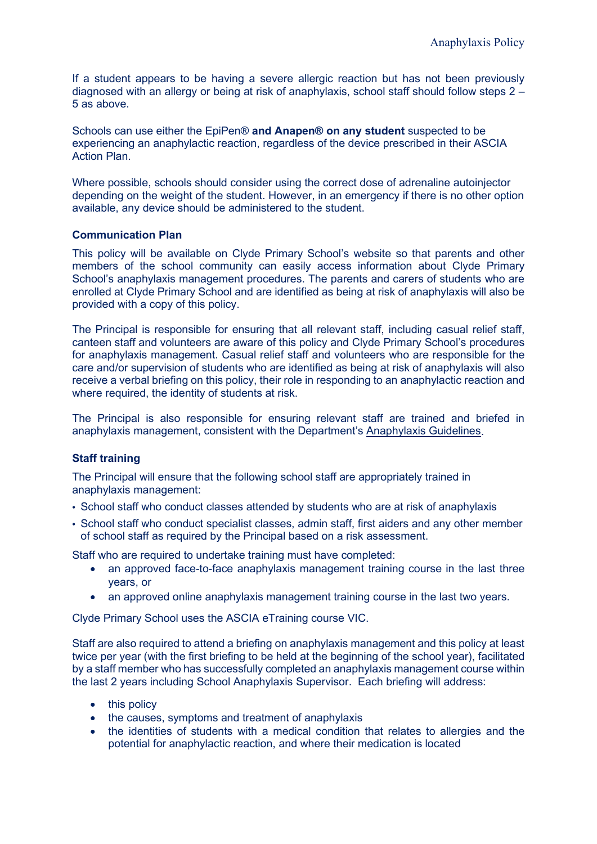If a student appears to be having a severe allergic reaction but has not been previously diagnosed with an allergy or being at risk of anaphylaxis, school staff should follow steps 2 – 5 as above.

Schools can use either the EpiPen® **and Anapen® on any student** suspected to be experiencing an anaphylactic reaction, regardless of the device prescribed in their ASCIA Action Plan.

Where possible, schools should consider using the correct dose of adrenaline autoinjector depending on the weight of the student. However, in an emergency if there is no other option available, any device should be administered to the student.

#### **Communication Plan**

This policy will be available on Clyde Primary School's website so that parents and other members of the school community can easily access information about Clyde Primary School's anaphylaxis management procedures. The parents and carers of students who are enrolled at Clyde Primary School and are identified as being at risk of anaphylaxis will also be provided with a copy of this policy.

The Principal is responsible for ensuring that all relevant staff, including casual relief staff, canteen staff and volunteers are aware of this policy and Clyde Primary School's procedures for anaphylaxis management. Casual relief staff and volunteers who are responsible for the care and/or supervision of students who are identified as being at risk of anaphylaxis will also receive a verbal briefing on this policy, their role in responding to an anaphylactic reaction and where required, the identity of students at risk.

The Principal is also responsible for ensuring relevant staff are trained and briefed in anaphylaxis management, consistent with the Department's [Anaphylaxis Guidelines.](https://www2.education.vic.gov.au/pal/anaphylaxis/guidance)

#### **Staff training**

The Principal will ensure that the following school staff are appropriately trained in anaphylaxis management:

- School staff who conduct classes attended by students who are at risk of anaphylaxis
- School staff who conduct specialist classes, admin staff, first aiders and any other member of school staff as required by the Principal based on a risk assessment.

Staff who are required to undertake training must have completed:

- an approved face-to-face anaphylaxis management training course in the last three years, or
- an approved online anaphylaxis management training course in the last two years.

Clyde Primary School uses the ASCIA eTraining course VIC.

Staff are also required to attend a briefing on anaphylaxis management and this policy at least twice per year (with the first briefing to be held at the beginning of the school year), facilitated by a staff member who has successfully completed an anaphylaxis management course within the last 2 years including School Anaphylaxis Supervisor. Each briefing will address:

- this policy
- the causes, symptoms and treatment of anaphylaxis
- the identities of students with a medical condition that relates to allergies and the potential for anaphylactic reaction, and where their medication is located